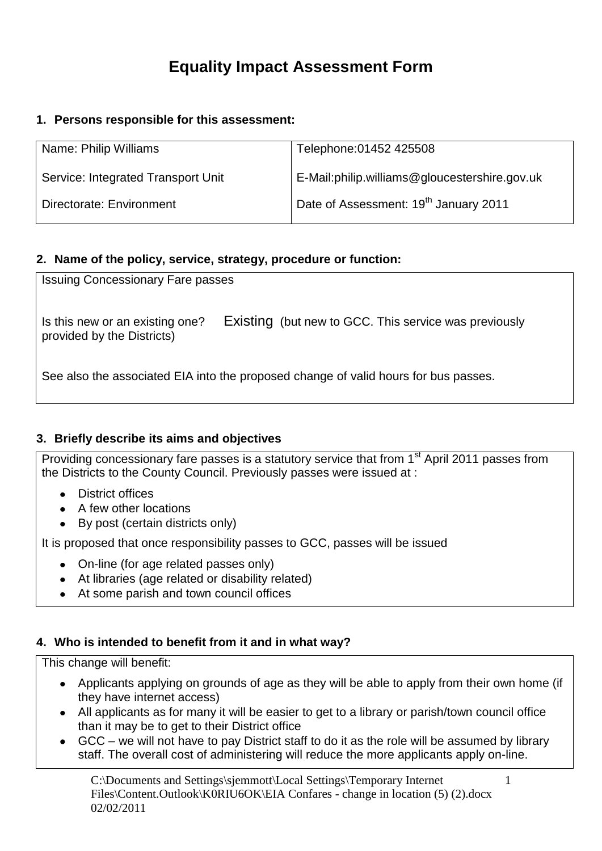# **Equality Impact Assessment Form**

# **1. Persons responsible for this assessment:**

| Name: Philip Williams              | Telephone: 01452 425508                           |
|------------------------------------|---------------------------------------------------|
| Service: Integrated Transport Unit | E-Mail:philip.williams@gloucestershire.gov.uk     |
| Directorate: Environment           | Date of Assessment: 19 <sup>th</sup> January 2011 |

# **2. Name of the policy, service, strategy, procedure or function:**

| <b>Issuing Concessionary Fare passes</b>                                            |                                                       |  |  |  |  |
|-------------------------------------------------------------------------------------|-------------------------------------------------------|--|--|--|--|
| Is this new or an existing one?<br>provided by the Districts)                       | Existing (but new to GCC. This service was previously |  |  |  |  |
| See also the associated EIA into the proposed change of valid hours for bus passes. |                                                       |  |  |  |  |

# **3. Briefly describe its aims and objectives**

Providing concessionary fare passes is a statutory service that from 1<sup>st</sup> April 2011 passes from the Districts to the County Council. Previously passes were issued at :

- District offices
- A few other locations
- By post (certain districts only)

It is proposed that once responsibility passes to GCC, passes will be issued

- On-line (for age related passes only)
- At libraries (age related or disability related)
- At some parish and town council offices

# **4. Who is intended to benefit from it and in what way?**

This change will benefit:

- Applicants applying on grounds of age as they will be able to apply from their own home (if they have internet access)
- All applicants as for many it will be easier to get to a library or parish/town council office than it may be to get to their District office
- GCC we will not have to pay District staff to do it as the role will be assumed by library staff. The overall cost of administering will reduce the more applicants apply on-line.

C:\Documents and Settings\sjemmott\Local Settings\Temporary Internet Files\Content.Outlook\K0RIU6OK\EIA Confares - change in location (5) (2).docx 02/02/2011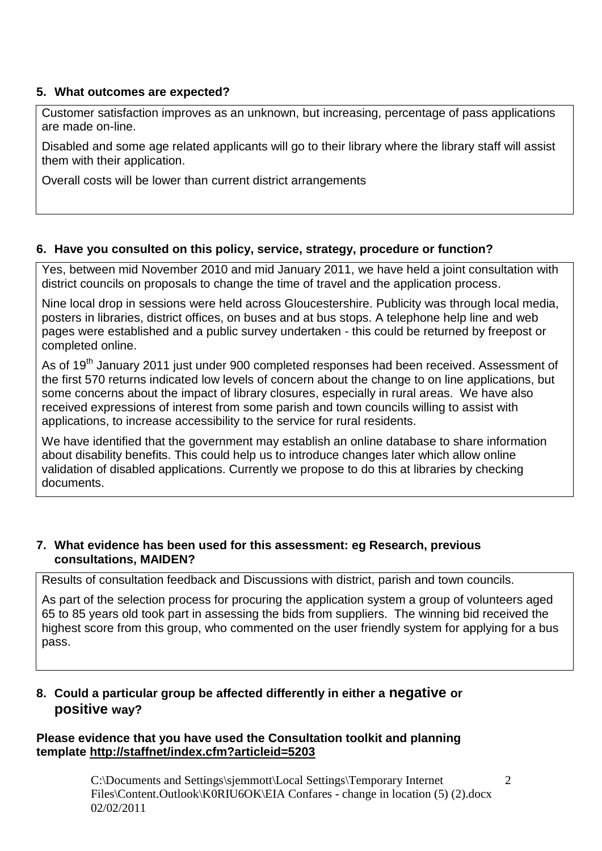# **5. What outcomes are expected?**

Customer satisfaction improves as an unknown, but increasing, percentage of pass applications are made on-line.

Disabled and some age related applicants will go to their library where the library staff will assist them with their application.

Overall costs will be lower than current district arrangements

# **6. Have you consulted on this policy, service, strategy, procedure or function?**

Yes, between mid November 2010 and mid January 2011, we have held a joint consultation with district councils on proposals to change the time of travel and the application process.

Nine local drop in sessions were held across Gloucestershire. Publicity was through local media, posters in libraries, district offices, on buses and at bus stops. A telephone help line and web pages were established and a public survey undertaken - this could be returned by freepost or completed online.

As of 19<sup>th</sup> January 2011 just under 900 completed responses had been received. Assessment of the first 570 returns indicated low levels of concern about the change to on line applications, but some concerns about the impact of library closures, especially in rural areas. We have also received expressions of interest from some parish and town councils willing to assist with applications, to increase accessibility to the service for rural residents.

We have identified that the government may establish an online database to share information about disability benefits. This could help us to introduce changes later which allow online validation of disabled applications. Currently we propose to do this at libraries by checking documents.

# **7. What evidence has been used for this assessment: eg Research, previous consultations, MAIDEN?**

Results of consultation feedback and Discussions with district, parish and town councils.

As part of the selection process for procuring the application system a group of volunteers aged 65 to 85 years old took part in assessing the bids from suppliers. The winning bid received the highest score from this group, who commented on the user friendly system for applying for a bus pass.

# **8. Could a particular group be affected differently in either a negative or positive way?**

# **Please evidence that you have used the Consultation toolkit and planning template<http://staffnet/index.cfm?articleid=5203>**

C:\Documents and Settings\sjemmott\Local Settings\Temporary Internet Files\Content.Outlook\K0RIU6OK\EIA Confares - change in location (5) (2).docx 02/02/2011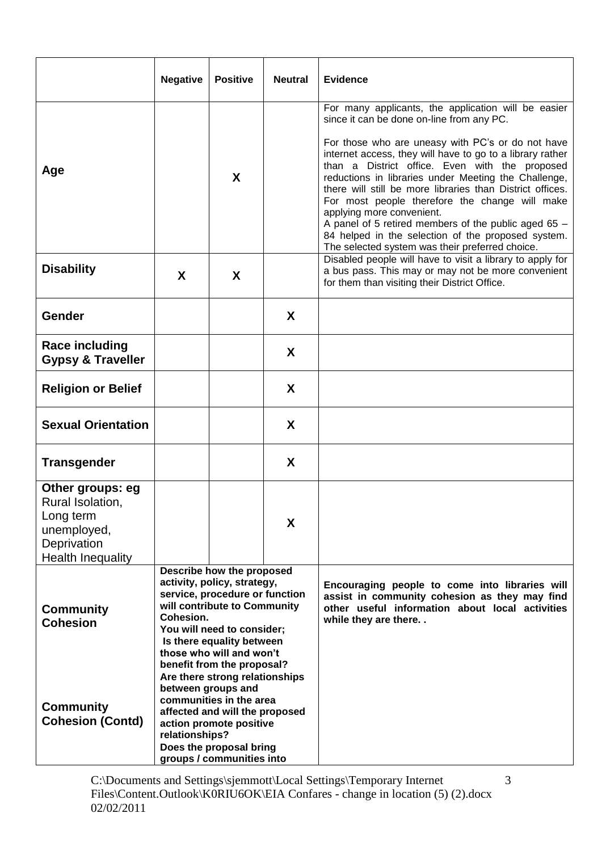|                                                                                                             | <b>Negative</b>                                                                                                                                                                                                                                                                                                                                                                                                                                                                        | <b>Positive</b> | <b>Neutral</b> | <b>Evidence</b>                                                                                                                                                                                                                                                                                                                                                                                                                                                                                                                                                                                                                           |  |  |
|-------------------------------------------------------------------------------------------------------------|----------------------------------------------------------------------------------------------------------------------------------------------------------------------------------------------------------------------------------------------------------------------------------------------------------------------------------------------------------------------------------------------------------------------------------------------------------------------------------------|-----------------|----------------|-------------------------------------------------------------------------------------------------------------------------------------------------------------------------------------------------------------------------------------------------------------------------------------------------------------------------------------------------------------------------------------------------------------------------------------------------------------------------------------------------------------------------------------------------------------------------------------------------------------------------------------------|--|--|
| Age                                                                                                         |                                                                                                                                                                                                                                                                                                                                                                                                                                                                                        | X               |                | For many applicants, the application will be easier<br>since it can be done on-line from any PC.<br>For those who are uneasy with PC's or do not have<br>internet access, they will have to go to a library rather<br>than a District office. Even with the proposed<br>reductions in libraries under Meeting the Challenge,<br>there will still be more libraries than District offices.<br>For most people therefore the change will make<br>applying more convenient.<br>A panel of 5 retired members of the public aged 65 -<br>84 helped in the selection of the proposed system.<br>The selected system was their preferred choice. |  |  |
| <b>Disability</b>                                                                                           | X                                                                                                                                                                                                                                                                                                                                                                                                                                                                                      | X               |                | Disabled people will have to visit a library to apply for<br>a bus pass. This may or may not be more convenient<br>for them than visiting their District Office.                                                                                                                                                                                                                                                                                                                                                                                                                                                                          |  |  |
| Gender                                                                                                      |                                                                                                                                                                                                                                                                                                                                                                                                                                                                                        |                 | X              |                                                                                                                                                                                                                                                                                                                                                                                                                                                                                                                                                                                                                                           |  |  |
| <b>Race including</b><br><b>Gypsy &amp; Traveller</b>                                                       |                                                                                                                                                                                                                                                                                                                                                                                                                                                                                        |                 | X              |                                                                                                                                                                                                                                                                                                                                                                                                                                                                                                                                                                                                                                           |  |  |
| <b>Religion or Belief</b>                                                                                   |                                                                                                                                                                                                                                                                                                                                                                                                                                                                                        |                 | X              |                                                                                                                                                                                                                                                                                                                                                                                                                                                                                                                                                                                                                                           |  |  |
| <b>Sexual Orientation</b>                                                                                   |                                                                                                                                                                                                                                                                                                                                                                                                                                                                                        |                 | X              |                                                                                                                                                                                                                                                                                                                                                                                                                                                                                                                                                                                                                                           |  |  |
| <b>Transgender</b>                                                                                          |                                                                                                                                                                                                                                                                                                                                                                                                                                                                                        |                 | X              |                                                                                                                                                                                                                                                                                                                                                                                                                                                                                                                                                                                                                                           |  |  |
| Other groups: eg<br>Rural Isolation,<br>Long term<br>unemployed,<br>Deprivation<br><b>Health Inequality</b> |                                                                                                                                                                                                                                                                                                                                                                                                                                                                                        |                 | X              |                                                                                                                                                                                                                                                                                                                                                                                                                                                                                                                                                                                                                                           |  |  |
| <b>Community</b><br><b>Cohesion</b><br><b>Community</b><br><b>Cohesion (Contd)</b>                          | Describe how the proposed<br>activity, policy, strategy,<br>service, procedure or function<br>will contribute to Community<br>Cohesion.<br>You will need to consider;<br>Is there equality between<br>those who will and won't<br>benefit from the proposal?<br>Are there strong relationships<br>between groups and<br>communities in the area<br>affected and will the proposed<br>action promote positive<br>relationships?<br>Does the proposal bring<br>groups / communities into |                 |                | Encouraging people to come into libraries will<br>assist in community cohesion as they may find<br>other useful information about local activities<br>while they are there. .                                                                                                                                                                                                                                                                                                                                                                                                                                                             |  |  |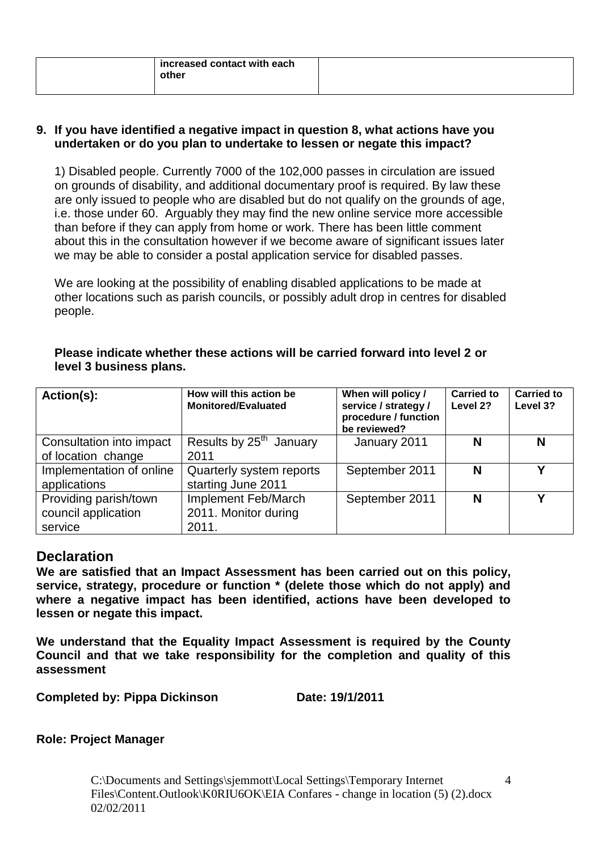#### **9. If you have identified a negative impact in question 8, what actions have you undertaken or do you plan to undertake to lessen or negate this impact?**

1) Disabled people. Currently 7000 of the 102,000 passes in circulation are issued on grounds of disability, and additional documentary proof is required. By law these are only issued to people who are disabled but do not qualify on the grounds of age, i.e. those under 60. Arguably they may find the new online service more accessible than before if they can apply from home or work. There has been little comment about this in the consultation however if we become aware of significant issues later we may be able to consider a postal application service for disabled passes.

We are looking at the possibility of enabling disabled applications to be made at other locations such as parish councils, or possibly adult drop in centres for disabled people.

| Please indicate whether these actions will be carried forward into level 2 or |  |
|-------------------------------------------------------------------------------|--|
| level 3 business plans.                                                       |  |

| Action(s):                                              | How will this action be<br><b>Monitored/Evaluated</b> | When will policy /<br>service / strategy /<br>procedure / function<br>be reviewed? | <b>Carried to</b><br>Level 2? | <b>Carried to</b><br>Level 3? |
|---------------------------------------------------------|-------------------------------------------------------|------------------------------------------------------------------------------------|-------------------------------|-------------------------------|
| Consultation into impact<br>of location change          | Results by 25 <sup>th</sup> January<br>2011           | January 2011                                                                       | N                             | N                             |
| Implementation of online<br>applications                | Quarterly system reports<br>starting June 2011        | September 2011                                                                     | N                             | v                             |
| Providing parish/town<br>council application<br>service | Implement Feb/March<br>2011. Monitor during<br>2011.  | September 2011                                                                     | N                             | v                             |

# **Declaration**

**We are satisfied that an Impact Assessment has been carried out on this policy, service, strategy, procedure or function \* (delete those which do not apply) and where a negative impact has been identified, actions have been developed to lessen or negate this impact.**

**We understand that the Equality Impact Assessment is required by the County Council and that we take responsibility for the completion and quality of this assessment** 

**Completed by: Pippa Dickinson Date: 19/1/2011**

# **Role: Project Manager**

C:\Documents and Settings\sjemmott\Local Settings\Temporary Internet Files\Content.Outlook\K0RIU6OK\EIA Confares - change in location (5) (2).docx 02/02/2011

4